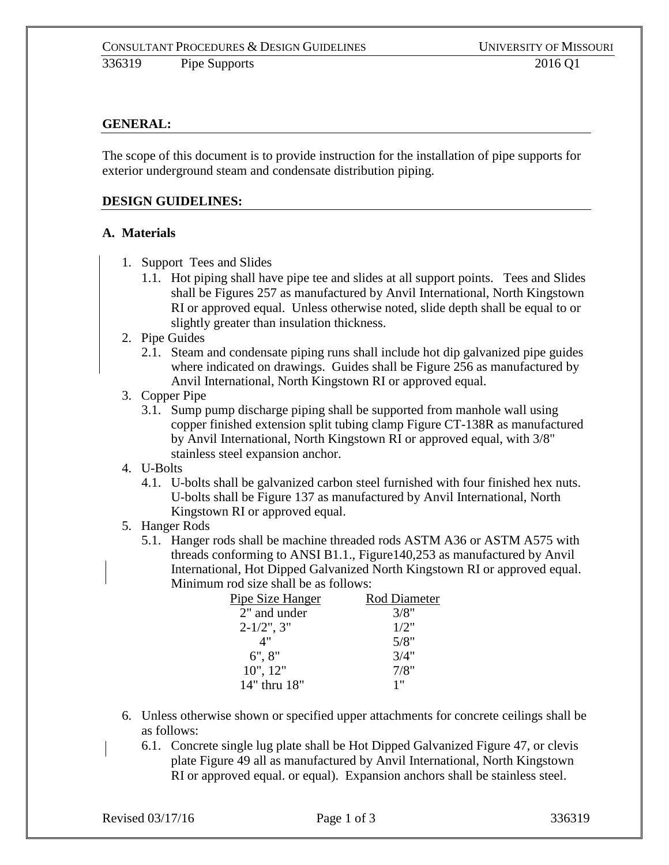### **GENERAL:**

The scope of this document is to provide instruction for the installation of pipe supports for exterior underground steam and condensate distribution piping.

#### **DESIGN GUIDELINES:**

#### **A. Materials**

- 1. Support Tees and Slides
	- 1.1. Hot piping shall have pipe tee and slides at all support points. Tees and Slides shall be Figures 257 as manufactured by Anvil International, North Kingstown RI or approved equal. Unless otherwise noted, slide depth shall be equal to or slightly greater than insulation thickness.
- 2. Pipe Guides
	- 2.1. Steam and condensate piping runs shall include hot dip galvanized pipe guides where indicated on drawings. Guides shall be Figure 256 as manufactured by Anvil International, North Kingstown RI or approved equal.
- 3. Copper Pipe
	- 3.1. Sump pump discharge piping shall be supported from manhole wall using copper finished extension split tubing clamp Figure CT-138R as manufactured by Anvil International, North Kingstown RI or approved equal, with 3/8" stainless steel expansion anchor.
- 4. U-Bolts
	- 4.1. U-bolts shall be galvanized carbon steel furnished with four finished hex nuts. U-bolts shall be Figure 137 as manufactured by Anvil International, North Kingstown RI or approved equal.
- 5. Hanger Rods
	- 5.1. Hanger rods shall be machine threaded rods ASTM A36 or ASTM A575 with threads conforming to ANSI B1.1., Figure140,253 as manufactured by Anvil International, Hot Dipped Galvanized North Kingstown RI or approved equal. Minimum rod size shall be as follows:

| Pipe Size Hanger | Rod Diameter |
|------------------|--------------|
| 2" and under     | 3/8"         |
| $2 - 1/2$ ", 3"  | 1/2"         |
| 4"               | 5/8"         |
| 6", 8"           | 3/4"         |
| 10", 12"         | 7/8"         |
| 14" thru 18"     | 1"           |

- 6. Unless otherwise shown or specified upper attachments for concrete ceilings shall be as follows:
	- 6.1. Concrete single lug plate shall be Hot Dipped Galvanized Figure 47, or clevis plate Figure 49 all as manufactured by Anvil International, North Kingstown RI or approved equal. or equal). Expansion anchors shall be stainless steel.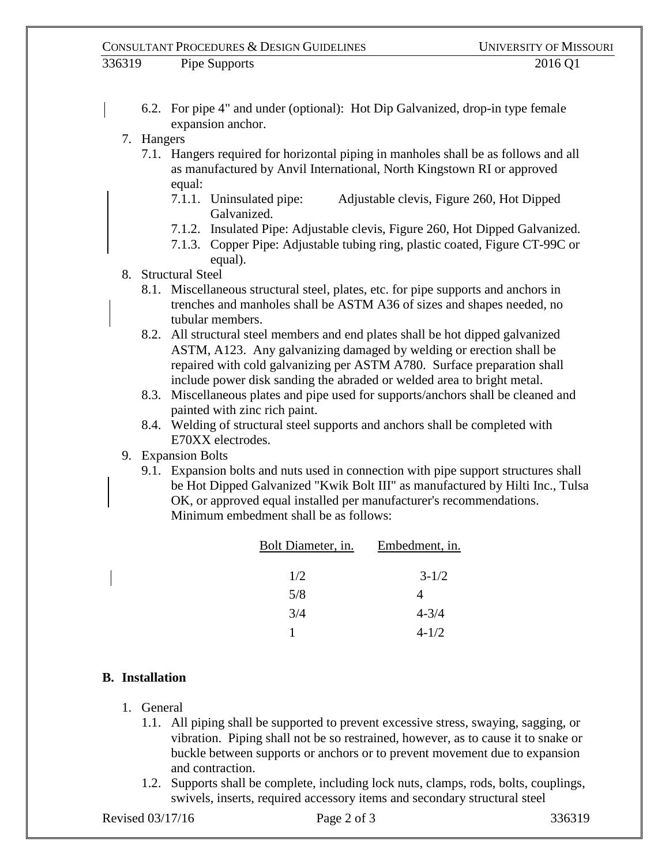- 6.2. For pipe 4" and under (optional): Hot Dip Galvanized, drop-in type female expansion anchor.
- 7. Hangers
	- 7.1. Hangers required for horizontal piping in manholes shall be as follows and all as manufactured by Anvil International, North Kingstown RI or approved equal:
		- 7.1.1. Uninsulated pipe: Adjustable clevis, Figure 260, Hot Dipped Galvanized.
		- 7.1.2. Insulated Pipe: Adjustable clevis, Figure 260, Hot Dipped Galvanized.
		- 7.1.3. Copper Pipe: Adjustable tubing ring, plastic coated, Figure CT-99C or equal).

## 8. Structural Steel

- 8.1. Miscellaneous structural steel, plates, etc. for pipe supports and anchors in trenches and manholes shall be ASTM A36 of sizes and shapes needed, no tubular members.
- 8.2. All structural steel members and end plates shall be hot dipped galvanized ASTM, A123. Any galvanizing damaged by welding or erection shall be repaired with cold galvanizing per ASTM A780. Surface preparation shall include power disk sanding the abraded or welded area to bright metal.
- 8.3. Miscellaneous plates and pipe used for supports/anchors shall be cleaned and painted with zinc rich paint.
- 8.4. Welding of structural steel supports and anchors shall be completed with E70XX electrodes.
- 9. Expansion Bolts
	- 9.1. Expansion bolts and nuts used in connection with pipe support structures shall be Hot Dipped Galvanized "Kwik Bolt III" as manufactured by Hilti Inc., Tulsa OK, or approved equal installed per manufacturer's recommendations. Minimum embedment shall be as follows:

| Bolt Diameter, in. | Embedment, in. |
|--------------------|----------------|
| 1/2                | $3 - 1/2$      |
| 5/8                | 4              |
| 3/4                | $4 - 3/4$      |
|                    | $4 - 1/2$      |

# **B. Installation**

- 1. General
	- 1.1. All piping shall be supported to prevent excessive stress, swaying, sagging, or vibration. Piping shall not be so restrained, however, as to cause it to snake or buckle between supports or anchors or to prevent movement due to expansion and contraction.
	- 1.2. Supports shall be complete, including lock nuts, clamps, rods, bolts, couplings, swivels, inserts, required accessory items and secondary structural steel